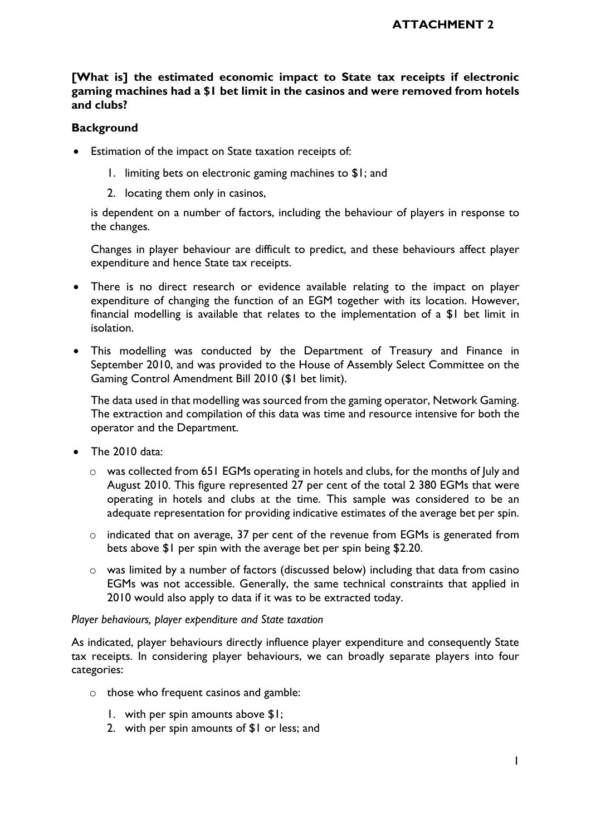# **[What is] the estimated economic impact to State tax receipts if electronic gaming machines had a \$1 bet limit in the casinos and were removed from hotels and clubs?**

## **Background**

- Estimation of the impact on State taxation receipts of:
	- 1. limiting bets on electronic gaming machines to \$1; and
	- 2. locating them only in casinos,

is dependent on a number of factors, including the behaviour of players in response to the changes.

Changes in player behaviour are difficult to predict, and these behaviours affect player expenditure and hence State tax receipts.

- There is no direct research or evidence available relating to the impact on player expenditure of changing the function of an EGM together with its location. However, financial modelling is available that relates to the implementation of a \$1 bet limit in isolation.
- This modelling was conducted by the Department of Treasury and Finance in September 2010, and was provided to the House of Assembly Select Committee on the Gaming Control Amendment Bill 2010 (\$1 bet limit).

The data used in that modelling was sourced from the gaming operator, Network Gaming. The extraction and compilation of this data was time and resource intensive for both the operator and the Department.

- The 2010 data:
	- $\circ$  was collected from 651 EGMs operating in hotels and clubs, for the months of July and August 2010. This figure represented 27 per cent of the total 2 380 EGMs that were operating in hotels and clubs at the time. This sample was considered to be an adequate representation for providing indicative estimates of the average bet per spin.
	- o indicated that on average, 37 per cent of the revenue from EGMs is generated from bets above \$1 per spin with the average bet per spin being \$2.20.
	- o was limited by a number of factors (discussed below) including that data from casino EGMs was not accessible. Generally, the same technical constraints that applied in 2010 would also apply to data if it was to be extracted today.

#### *Player behaviours, player expenditure and State taxation*

As indicated, player behaviours directly influence player expenditure and consequently State tax receipts. In considering player behaviours, we can broadly separate players into four categories:

- o those who frequent casinos and gamble:
	- 1. with per spin amounts above \$1;
	- 2. with per spin amounts of \$1 or less; and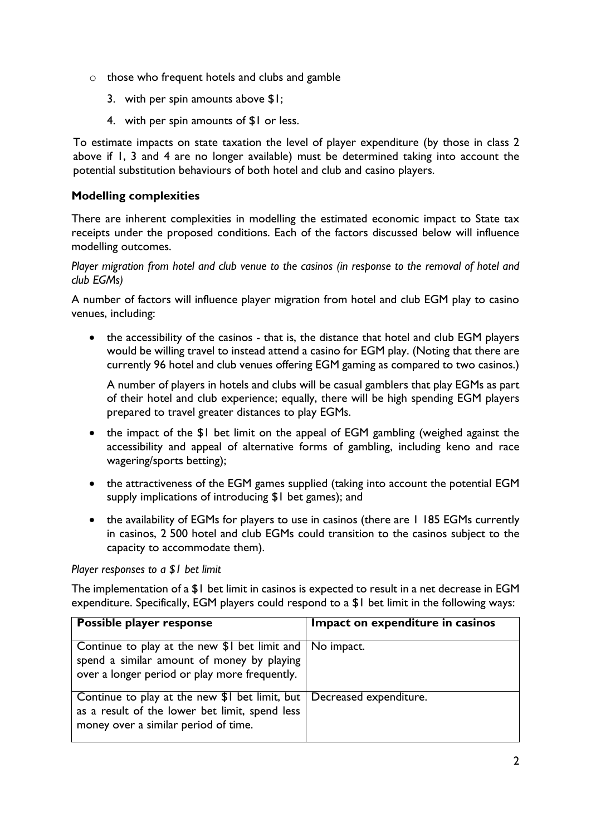- o those who frequent hotels and clubs and gamble
	- 3. with per spin amounts above \$1;
	- 4. with per spin amounts of \$1 or less.

To estimate impacts on state taxation the level of player expenditure (by those in class 2 above if 1, 3 and 4 are no longer available) must be determined taking into account the potential substitution behaviours of both hotel and club and casino players.

# **Modelling complexities**

There are inherent complexities in modelling the estimated economic impact to State tax receipts under the proposed conditions. Each of the factors discussed below will influence modelling outcomes.

*Player migration from hotel and club venue to the casinos (in response to the removal of hotel and club EGMs)*

A number of factors will influence player migration from hotel and club EGM play to casino venues, including:

• the accessibility of the casinos - that is, the distance that hotel and club EGM players would be willing travel to instead attend a casino for EGM play. (Noting that there are currently 96 hotel and club venues offering EGM gaming as compared to two casinos.)

A number of players in hotels and clubs will be casual gamblers that play EGMs as part of their hotel and club experience; equally, there will be high spending EGM players prepared to travel greater distances to play EGMs.

- the impact of the \$1 bet limit on the appeal of EGM gambling (weighed against the accessibility and appeal of alternative forms of gambling, including keno and race wagering/sports betting);
- the attractiveness of the EGM games supplied (taking into account the potential EGM supply implications of introducing \$1 bet games); and
- the availability of EGMs for players to use in casinos (there are 1 185 EGMs currently in casinos, 2 500 hotel and club EGMs could transition to the casinos subject to the capacity to accommodate them).

#### *Player responses to a \$1 bet limit*

The implementation of a \$1 bet limit in casinos is expected to result in a net decrease in EGM expenditure. Specifically, EGM players could respond to a \$1 bet limit in the following ways:

| Possible player response                                                                                                                                          | Impact on expenditure in casinos |
|-------------------------------------------------------------------------------------------------------------------------------------------------------------------|----------------------------------|
| Continue to play at the new $$I$ bet limit and $ $ No impact.<br>spend a similar amount of money by playing<br>over a longer period or play more frequently.      |                                  |
| Continue to play at the new \$1 bet limit, but   Decreased expenditure.<br>as a result of the lower bet limit, spend less<br>money over a similar period of time. |                                  |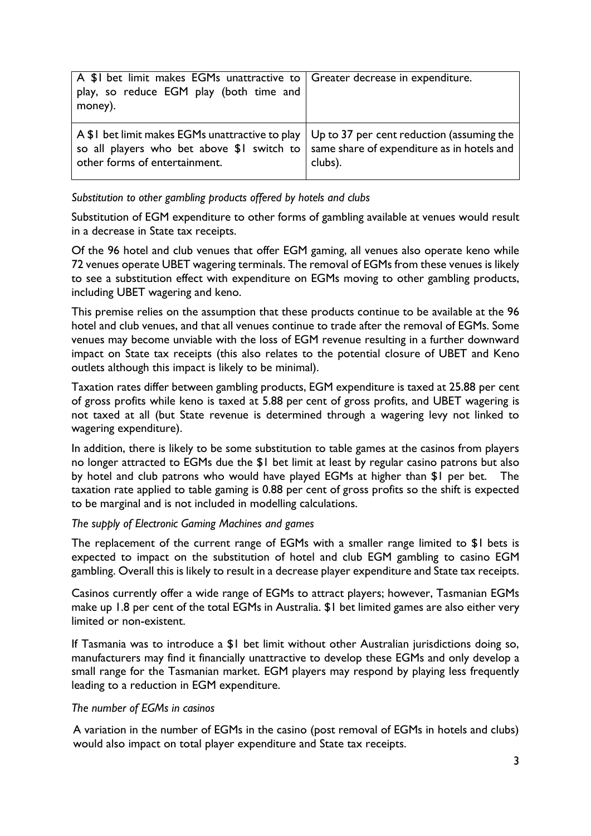| A \$1 bet limit makes EGMs unattractive to Greater decrease in expenditure.<br>play, so reduce EGM play (both time and<br>money).                                                                                                |         |
|----------------------------------------------------------------------------------------------------------------------------------------------------------------------------------------------------------------------------------|---------|
| A \$1 bet limit makes EGMs unattractive to play $\vert$ Up to 37 per cent reduction (assuming the<br>so all players who bet above $$1$ switch to $ $ same share of expenditure as in hotels and<br>other forms of entertainment. | clubs). |

*Substitution to other gambling products offered by hotels and clubs*

Substitution of EGM expenditure to other forms of gambling available at venues would result in a decrease in State tax receipts.

Of the 96 hotel and club venues that offer EGM gaming, all venues also operate keno while 72 venues operate UBET wagering terminals. The removal of EGMs from these venues is likely to see a substitution effect with expenditure on EGMs moving to other gambling products, including UBET wagering and keno.

This premise relies on the assumption that these products continue to be available at the 96 hotel and club venues, and that all venues continue to trade after the removal of EGMs. Some venues may become unviable with the loss of EGM revenue resulting in a further downward impact on State tax receipts (this also relates to the potential closure of UBET and Keno outlets although this impact is likely to be minimal).

Taxation rates differ between gambling products, EGM expenditure is taxed at 25.88 per cent of gross profits while keno is taxed at 5.88 per cent of gross profits, and UBET wagering is not taxed at all (but State revenue is determined through a wagering levy not linked to wagering expenditure).

In addition, there is likely to be some substitution to table games at the casinos from players no longer attracted to EGMs due the \$1 bet limit at least by regular casino patrons but also by hotel and club patrons who would have played EGMs at higher than \$1 per bet. The taxation rate applied to table gaming is 0.88 per cent of gross profits so the shift is expected to be marginal and is not included in modelling calculations.

#### *The supply of Electronic Gaming Machines and games*

The replacement of the current range of EGMs with a smaller range limited to \$1 bets is expected to impact on the substitution of hotel and club EGM gambling to casino EGM gambling. Overall this is likely to result in a decrease player expenditure and State tax receipts.

Casinos currently offer a wide range of EGMs to attract players; however, Tasmanian EGMs make up 1.8 per cent of the total EGMs in Australia. \$1 bet limited games are also either very limited or non-existent.

If Tasmania was to introduce a \$1 bet limit without other Australian jurisdictions doing so, manufacturers may find it financially unattractive to develop these EGMs and only develop a small range for the Tasmanian market. EGM players may respond by playing less frequently leading to a reduction in EGM expenditure.

#### *The number of EGMs in casinos*

A variation in the number of EGMs in the casino (post removal of EGMs in hotels and clubs) would also impact on total player expenditure and State tax receipts.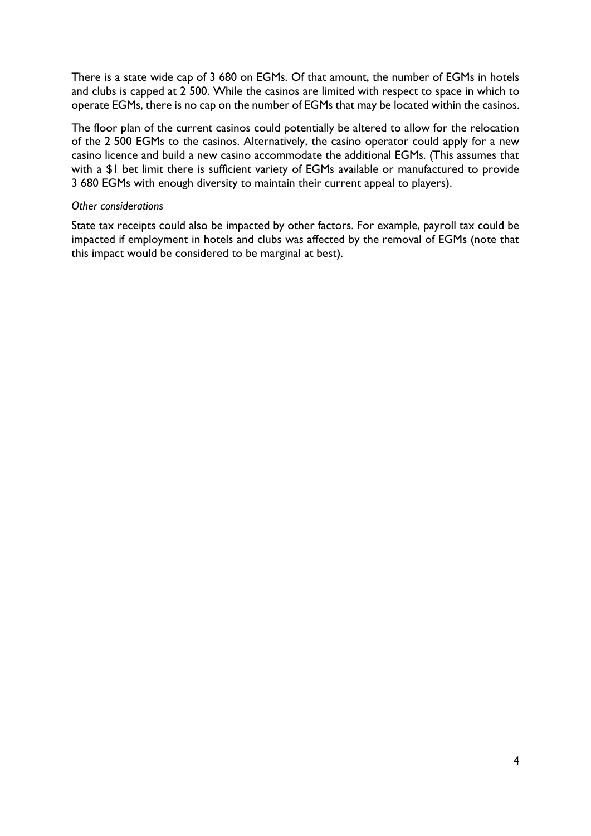There is a state wide cap of 3 680 on EGMs. Of that amount, the number of EGMs in hotels and clubs is capped at 2 500. While the casinos are limited with respect to space in which to operate EGMs, there is no cap on the number of EGMs that may be located within the casinos.

The floor plan of the current casinos could potentially be altered to allow for the relocation of the 2 500 EGMs to the casinos. Alternatively, the casino operator could apply for a new casino licence and build a new casino accommodate the additional EGMs. (This assumes that with a \$1 bet limit there is sufficient variety of EGMs available or manufactured to provide 3 680 EGMs with enough diversity to maintain their current appeal to players).

#### *Other considerations*

State tax receipts could also be impacted by other factors. For example, payroll tax could be impacted if employment in hotels and clubs was affected by the removal of EGMs (note that this impact would be considered to be marginal at best).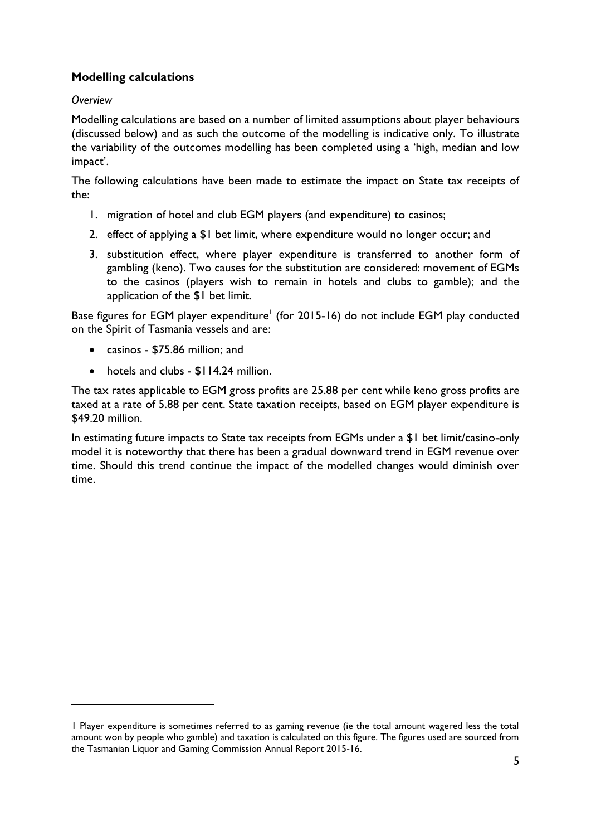# **Modelling calculations**

# *Overview*

1

Modelling calculations are based on a number of limited assumptions about player behaviours (discussed below) and as such the outcome of the modelling is indicative only. To illustrate the variability of the outcomes modelling has been completed using a 'high, median and low impact'.

The following calculations have been made to estimate the impact on State tax receipts of the:

- 1. migration of hotel and club EGM players (and expenditure) to casinos;
- 2. effect of applying a \$1 bet limit, where expenditure would no longer occur; and
- 3. substitution effect, where player expenditure is transferred to another form of gambling (keno). Two causes for the substitution are considered: movement of EGMs to the casinos (players wish to remain in hotels and clubs to gamble); and the application of the \$1 bet limit.

Base figures for EGM player expenditure<sup>1</sup> (for 2015-16) do not include EGM play conducted on the Spirit of Tasmania vessels and are:

- casinos \$75.86 million; and
- hotels and clubs \$114.24 million.

The tax rates applicable to EGM gross profits are 25.88 per cent while keno gross profits are taxed at a rate of 5.88 per cent. State taxation receipts, based on EGM player expenditure is \$49.20 million.

In estimating future impacts to State tax receipts from EGMs under a \$1 bet limit/casino-only model it is noteworthy that there has been a gradual downward trend in EGM revenue over time. Should this trend continue the impact of the modelled changes would diminish over time.

<sup>1</sup> Player expenditure is sometimes referred to as gaming revenue (ie the total amount wagered less the total amount won by people who gamble) and taxation is calculated on this figure. The figures used are sourced from the Tasmanian Liquor and Gaming Commission Annual Report 2015-16.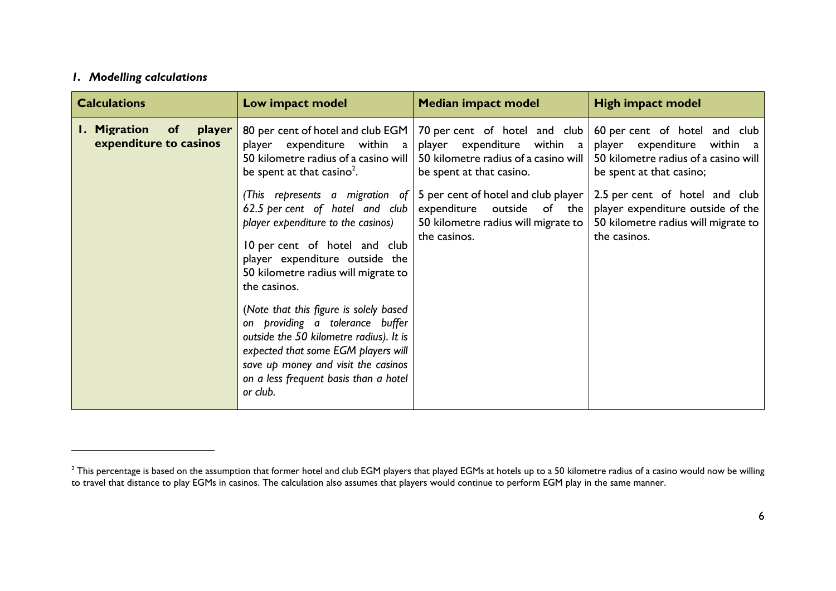## *1. Modelling calculations*

 $\overline{a}$ 

| <b>Calculations</b>                                               | Low impact model                                                                                                                                                                                                                                        | <b>Median impact model</b>                                                                                                          | <b>High impact model</b>                                                                                                         |
|-------------------------------------------------------------------|---------------------------------------------------------------------------------------------------------------------------------------------------------------------------------------------------------------------------------------------------------|-------------------------------------------------------------------------------------------------------------------------------------|----------------------------------------------------------------------------------------------------------------------------------|
| <b>Migration</b><br><b>of</b><br>player<br>expenditure to casinos | 80 per cent of hotel and club EGM  <br>expenditure within a<br>player<br>50 kilometre radius of a casino will<br>be spent at that casino <sup>2</sup> .                                                                                                 | 70 per cent of hotel and club<br>player expenditure<br>within a<br>50 kilometre radius of a casino will<br>be spent at that casino. | 60 per cent of hotel and club<br>player expenditure within a<br>50 kilometre radius of a casino will<br>be spent at that casino; |
|                                                                   | (This represents a migration of $ $<br>62.5 per cent of hotel and club<br>player expenditure to the casinos)<br>10 per cent of hotel and club<br>player expenditure outside the<br>50 kilometre radius will migrate to<br>the casinos.                  | 5 per cent of hotel and club player<br>expenditure outside of the<br>50 kilometre radius will migrate to<br>the casinos.            | 2.5 per cent of hotel and club<br>player expenditure outside of the<br>50 kilometre radius will migrate to<br>the casinos.       |
|                                                                   | (Note that this figure is solely based<br>on providing a tolerance buffer<br>outside the 50 kilometre radius). It is<br>expected that some EGM players will<br>save up money and visit the casinos<br>on a less frequent basis than a hotel<br>or club. |                                                                                                                                     |                                                                                                                                  |

 $^{\rm 2}$  This percentage is based on the assumption that former hotel and club EGM players that played EGMs at hotels up to a 50 kilometre radius of a casino would now be willing to travel that distance to play EGMs in casinos. The calculation also assumes that players would continue to perform EGM play in the same manner.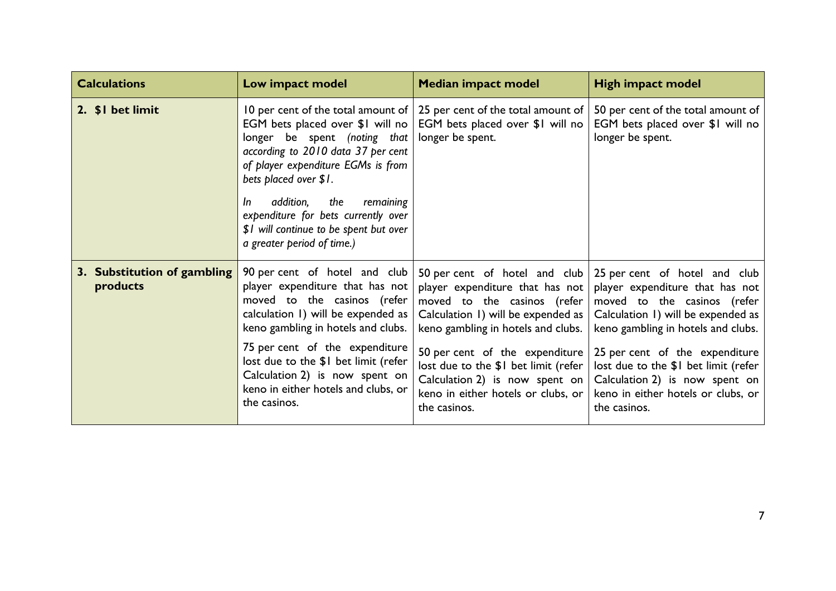| <b>Calculations</b>                     | Low impact model                                                                                                                                                                                                                                                                                                                                                             | <b>Median impact model</b>                                                                                                                                                                                                                                                                                                                          | <b>High impact model</b>                                                                                                                                                                                                                                                                                                                      |
|-----------------------------------------|------------------------------------------------------------------------------------------------------------------------------------------------------------------------------------------------------------------------------------------------------------------------------------------------------------------------------------------------------------------------------|-----------------------------------------------------------------------------------------------------------------------------------------------------------------------------------------------------------------------------------------------------------------------------------------------------------------------------------------------------|-----------------------------------------------------------------------------------------------------------------------------------------------------------------------------------------------------------------------------------------------------------------------------------------------------------------------------------------------|
| 2. \$1 bet limit                        | 10 per cent of the total amount of $ $<br>EGM bets placed over \$1 will no<br>longer be spent (noting that<br>according to 2010 data 37 per cent<br>of player expenditure EGMs is from<br>bets placed over \$1.<br>addition,<br>the<br>remaining<br><i>In</i><br>expenditure for bets currently over<br>\$1 will continue to be spent but over<br>a greater period of time.) | 25 per cent of the total amount of<br>EGM bets placed over \$1 will no<br>longer be spent.                                                                                                                                                                                                                                                          | 50 per cent of the total amount of<br>EGM bets placed over \$1 will no<br>longer be spent.                                                                                                                                                                                                                                                    |
| 3. Substitution of gambling<br>products | 90 per cent of hotel and club<br>player expenditure that has not<br>moved to the casinos (refer<br>calculation 1) will be expended as<br>keno gambling in hotels and clubs.<br>75 per cent of the expenditure<br>lost due to the \$1 bet limit (refer<br>Calculation 2) is now spent on<br>keno in either hotels and clubs, or<br>the casinos.                               | 50 per cent of hotel and club<br>player expenditure that has not<br>moved to the casinos (refer<br>Calculation 1) will be expended as  <br>keno gambling in hotels and clubs.<br>50 per cent of the expenditure<br>lost due to the \$1 bet limit (refer<br>Calculation 2) is now spent on $ $<br>keno in either hotels or clubs, or<br>the casinos. | 25 per cent of hotel and club<br>player expenditure that has not<br>moved to the casinos (refer<br>Calculation 1) will be expended as<br>keno gambling in hotels and clubs.<br>25 per cent of the expenditure<br>lost due to the \$1 bet limit (refer<br>Calculation 2) is now spent on<br>keno in either hotels or clubs, or<br>the casinos. |